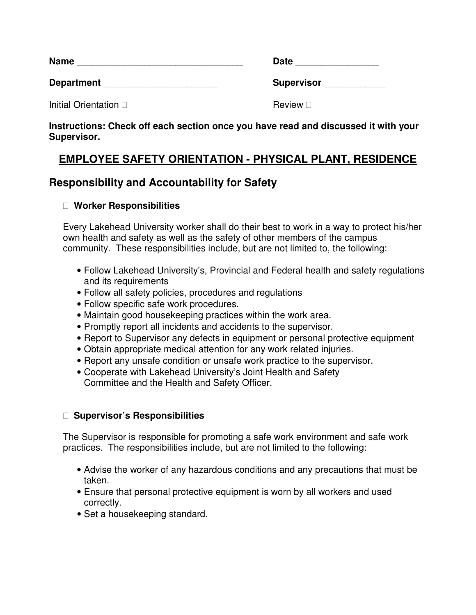| <b>Name</b>       | <b>Date</b>       |
|-------------------|-------------------|
| <b>Department</b> | <b>Supervisor</b> |

**Initial Orientation Review Review** 

**Instructions: Check off each section once you have read and discussed it with your Supervisor.** 

# **EMPLOYEE SAFETY ORIENTATION - PHYSICAL PLANT, RESIDENCE**

# **Responsibility and Accountability for Safety**

### **Worker Responsibilities**

Every Lakehead University worker shall do their best to work in a way to protect his/her own health and safety as well as the safety of other members of the campus community. These responsibilities include, but are not limited to, the following:

- Follow Lakehead University's, Provincial and Federal health and safety regulations and its requirements
- Follow all safety policies, procedures and regulations
- Follow specific safe work procedures.
- Maintain good housekeeping practices within the work area.
- Promptly report all incidents and accidents to the supervisor.
- Report to Supervisor any defects in equipment or personal protective equipment
- Obtain appropriate medical attention for any work related injuries.
- Report any unsafe condition or unsafe work practice to the supervisor.
- Cooperate with Lakehead University's Joint Health and Safety Committee and the Health and Safety Officer.

### **Supervisor's Responsibilities**

The Supervisor is responsible for promoting a safe work environment and safe work practices. The responsibilities include, but are not limited to the following:

- Advise the worker of any hazardous conditions and any precautions that must be taken.
- Ensure that personal protective equipment is worn by all workers and used correctly.
- Set a housekeeping standard.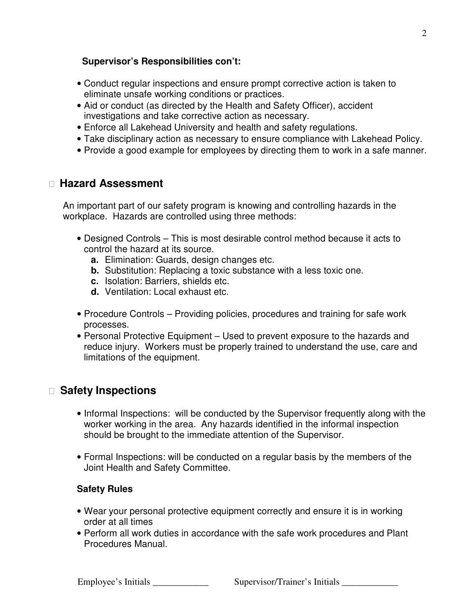#### **Supervisor's Responsibilities con't:**

- Conduct regular inspections and ensure prompt corrective action is taken to eliminate unsafe working conditions or practices.
- Aid or conduct (as directed by the Health and Safety Officer), accident investigations and take corrective action as necessary.
- Enforce all Lakehead University and health and safety regulations.
- Take disciplinary action as necessary to ensure compliance with Lakehead Policy.
- Provide a good example for employees by directing them to work in a safe manner.

## **Hazard Assessment**

An important part of our safety program is knowing and controlling hazards in the workplace. Hazards are controlled using three methods:

- Designed Controls This is most desirable control method because it acts to control the hazard at its source.
	- **a.** Elimination: Guards, design changes etc.
	- **b.** Substitution: Replacing a toxic substance with a less toxic one.
	- **c.** Isolation: Barriers, shields etc.
	- **d.** Ventilation: Local exhaust etc.
- Procedure Controls Providing policies, procedures and training for safe work processes.
- Personal Protective Equipment Used to prevent exposure to the hazards and reduce injury. Workers must be properly trained to understand the use, care and limitations of the equipment.

# **Safety Inspections**

- Informal Inspections: will be conducted by the Supervisor frequently along with the worker working in the area. Any hazards identified in the informal inspection should be brought to the immediate attention of the Supervisor.
- Formal Inspections: will be conducted on a regular basis by the members of the Joint Health and Safety Committee.

### **Safety Rules**

- Wear your personal protective equipment correctly and ensure it is in working order at all times
- Perform all work duties in accordance with the safe work procedures and Plant Procedures Manual.

Employee's Initials \_\_\_\_\_\_\_\_\_\_\_\_\_\_ Supervisor/Trainer's Initials \_\_\_\_\_\_\_\_\_\_\_\_\_\_\_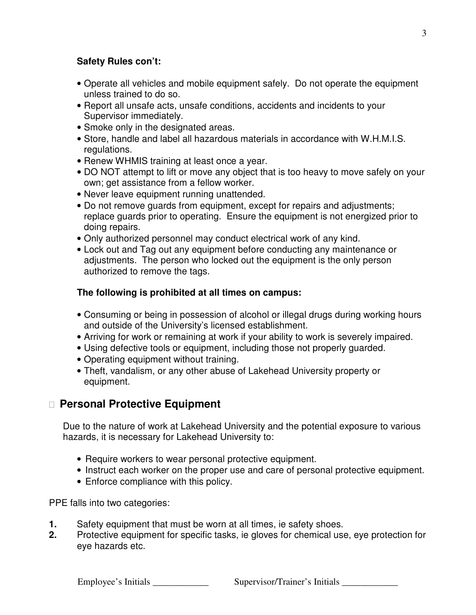#### **Safety Rules con't:**

- Operate all vehicles and mobile equipment safely. Do not operate the equipment unless trained to do so.
- Report all unsafe acts, unsafe conditions, accidents and incidents to your Supervisor immediately.
- Smoke only in the designated areas.
- Store, handle and label all hazardous materials in accordance with W.H.M.I.S. regulations.
- Renew WHMIS training at least once a year.
- DO NOT attempt to lift or move any object that is too heavy to move safely on your own; get assistance from a fellow worker.
- Never leave equipment running unattended.
- Do not remove guards from equipment, except for repairs and adjustments; replace guards prior to operating. Ensure the equipment is not energized prior to doing repairs.
- Only authorized personnel may conduct electrical work of any kind.
- Lock out and Tag out any equipment before conducting any maintenance or adjustments. The person who locked out the equipment is the only person authorized to remove the tags.

#### **The following is prohibited at all times on campus:**

- Consuming or being in possession of alcohol or illegal drugs during working hours and outside of the University's licensed establishment.
- Arriving for work or remaining at work if your ability to work is severely impaired.
- Using defective tools or equipment, including those not properly guarded.
- Operating equipment without training.
- Theft, vandalism, or any other abuse of Lakehead University property or equipment.

# **Personal Protective Equipment**

Due to the nature of work at Lakehead University and the potential exposure to various hazards, it is necessary for Lakehead University to:

- Require workers to wear personal protective equipment.
- Instruct each worker on the proper use and care of personal protective equipment.
- Enforce compliance with this policy.

PPE falls into two categories:

- **1.** Safety equipment that must be worn at all times, ie safety shoes.
- **2.** Protective equipment for specific tasks, ie gloves for chemical use, eye protection for eye hazards etc.

Employee's Initials \_\_\_\_\_\_\_\_\_\_\_\_\_\_\_\_\_ Supervisor/Trainer's Initials \_\_\_\_\_\_\_\_\_\_\_\_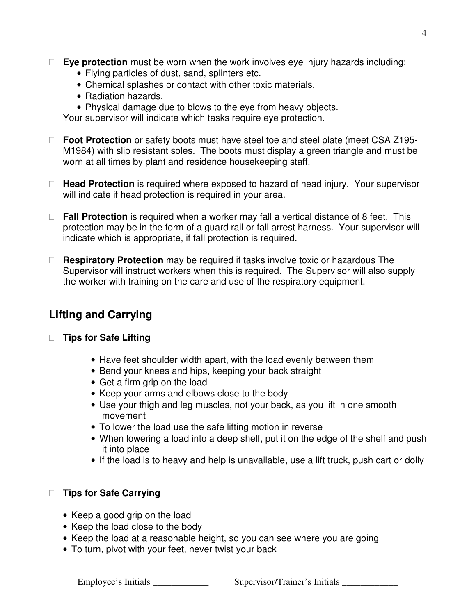**Eye protection** must be worn when the work involves eye injury hazards including:

- Flying particles of dust, sand, splinters etc.
- Chemical splashes or contact with other toxic materials.
- Radiation hazards.
- Physical damage due to blows to the eye from heavy objects.

Your supervisor will indicate which tasks require eye protection.

 **Foot Protection** or safety boots must have steel toe and steel plate (meet CSA Z195- M1984) with slip resistant soles. The boots must display a green triangle and must be worn at all times by plant and residence housekeeping staff.

 **Head Protection** is required where exposed to hazard of head injury. Your supervisor will indicate if head protection is required in your area.

 **Fall Protection** is required when a worker may fall a vertical distance of 8 feet. This protection may be in the form of a guard rail or fall arrest harness. Your supervisor will indicate which is appropriate, if fall protection is required.

 **Respiratory Protection** may be required if tasks involve toxic or hazardous The Supervisor will instruct workers when this is required. The Supervisor will also supply the worker with training on the care and use of the respiratory equipment.

# **Lifting and Carrying**

### **Tips for Safe Lifting**

- Have feet shoulder width apart, with the load evenly between them
- Bend your knees and hips, keeping your back straight
- Get a firm grip on the load
- Keep your arms and elbows close to the body
- Use your thigh and leg muscles, not your back, as you lift in one smooth movement
- To lower the load use the safe lifting motion in reverse
- When lowering a load into a deep shelf, put it on the edge of the shelf and push it into place
- If the load is to heavy and help is unavailable, use a lift truck, push cart or dolly

### **Tips for Safe Carrying**

- Keep a good grip on the load
- Keep the load close to the body
- Keep the load at a reasonable height, so you can see where you are going
- To turn, pivot with your feet, never twist your back

Employee's Initials \_\_\_\_\_\_\_\_\_\_\_\_\_\_ Supervisor/Trainer's Initials \_\_\_\_\_\_\_\_\_\_\_\_\_\_\_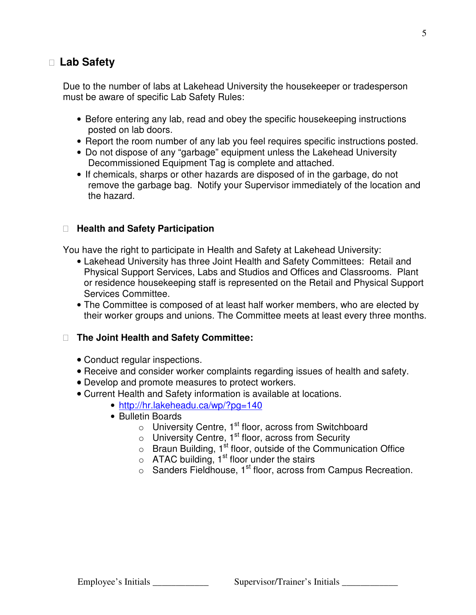### **Lab Safety**

Due to the number of labs at Lakehead University the housekeeper or tradesperson must be aware of specific Lab Safety Rules:

- Before entering any lab, read and obey the specific housekeeping instructions posted on lab doors.
- Report the room number of any lab you feel requires specific instructions posted.
- Do not dispose of any "garbage" equipment unless the Lakehead University Decommissioned Equipment Tag is complete and attached.
- If chemicals, sharps or other hazards are disposed of in the garbage, do not remove the garbage bag. Notify your Supervisor immediately of the location and the hazard.

#### **Health and Safety Participation**

You have the right to participate in Health and Safety at Lakehead University:

- Lakehead University has three Joint Health and Safety Committees: Retail and Physical Support Services, Labs and Studios and Offices and Classrooms. Plant or residence housekeeping staff is represented on the Retail and Physical Support Services Committee.
- The Committee is composed of at least half worker members, who are elected by their worker groups and unions. The Committee meets at least every three months.

#### **The Joint Health and Safety Committee:**

- Conduct regular inspections.
- Receive and consider worker complaints regarding issues of health and safety.
- Develop and promote measures to protect workers.
- Current Health and Safety information is available at locations.
	- http://hr.lakeheadu.ca/wp/?pg=140
	- Bulletin Boards
		- $\circ$  University Centre, 1<sup>st</sup> floor, across from Switchboard
		- $\circ$  University Centre, 1<sup>st</sup> floor, across from Security
		- $\circ$  Braun Building, 1<sup>st</sup> floor, outside of the Communication Office
		- $\circ$  ATAC building, 1<sup>st</sup> floor under the stairs
		- o Sanders Fieldhouse, 1<sup>st</sup> floor, across from Campus Recreation.